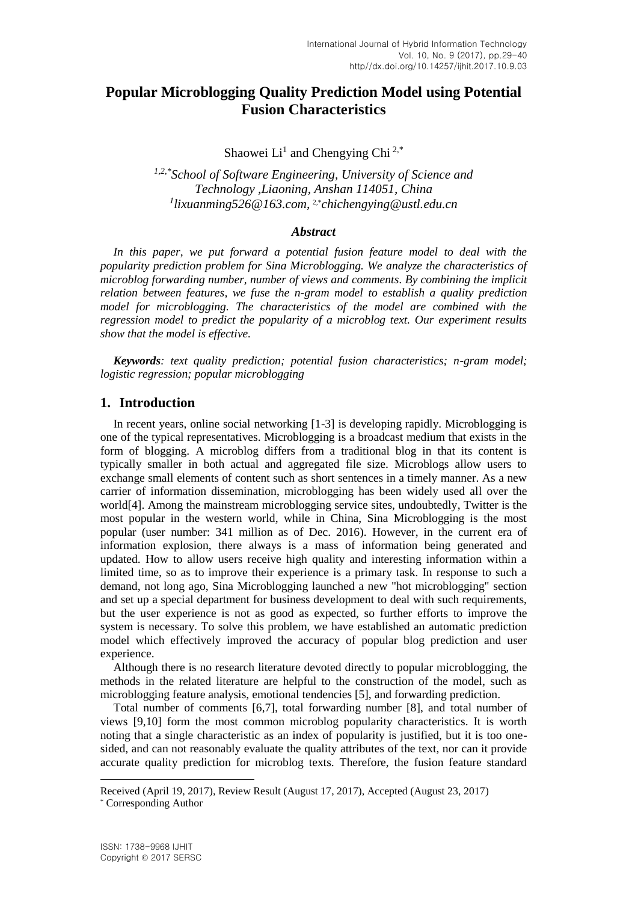# **Popular Microblogging Quality Prediction Model using Potential Fusion Characteristics**

Shaowei Li<sup>1</sup> and Chengying Chi<sup>2,\*</sup>

*1,2,\*School of Software Engineering, University of Science and Technology ,Liaoning, Anshan 114051, China 1 [lixuanming526@163.com,](mailto:lixuanming526@163.com)* 2,\**chichengying@ustl.edu.cn*

## *Abstract*

In this paper, we put forward a potential fusion feature model to deal with the *popularity prediction problem for Sina Microblogging. We analyze the characteristics of microblog forwarding number, number of views and comments. By combining the implicit relation between features, we fuse the n-gram model to establish a quality prediction model for microblogging. The characteristics of the model are combined with the regression model to predict the popularity of a microblog text. Our experiment results show that the model is effective.*

*Keywords: text quality prediction; potential fusion characteristics; n-gram model; logistic regression; popular microblogging*

# **1. Introduction**

In recent years, online social networking [1-3] is developing rapidly. Microblogging is one of the typical representatives. Microblogging is a broadcast medium that exists in the form of blogging. A microblog differs from a traditional blog in that its content is typically smaller in both actual and aggregated file size. Microblogs allow users to exchange small elements of content such as short sentences in a timely manner. As a new carrier of information dissemination, microblogging has been widely used all over the world[4]. Among the mainstream microblogging service sites, undoubtedly, Twitter is the most popular in the western world, while in China, Sina Microblogging is the most popular (user number: 341 million as of Dec. 2016). However, in the current era of information explosion, there always is a mass of information being generated and updated. How to allow users receive high quality and interesting information within a limited time, so as to improve their experience is a primary task. In response to such a demand, not long ago, Sina Microblogging launched a new "hot microblogging" section and set up a special department for business development to deal with such requirements, but the user experience is not as good as expected, so further efforts to improve the system is necessary. To solve this problem, we have established an automatic prediction model which effectively improved the accuracy of popular blog prediction and user experience.

Although there is no research literature devoted directly to popular microblogging, the methods in the related literature are helpful to the construction of the model, such as microblogging feature analysis, emotional tendencies [5], and forwarding prediction.

Total number of comments [6,7], total forwarding number [8], and total number of views [9,10] form the most common microblog popularity characteristics. It is worth noting that a single characteristic as an index of popularity is justified, but it is too onesided, and can not reasonably evaluate the quality attributes of the text, nor can it provide accurate quality prediction for microblog texts. Therefore, the fusion feature standard

l

Received (April 19, 2017), Review Result (August 17, 2017), Accepted (August 23, 2017) \* Corresponding Author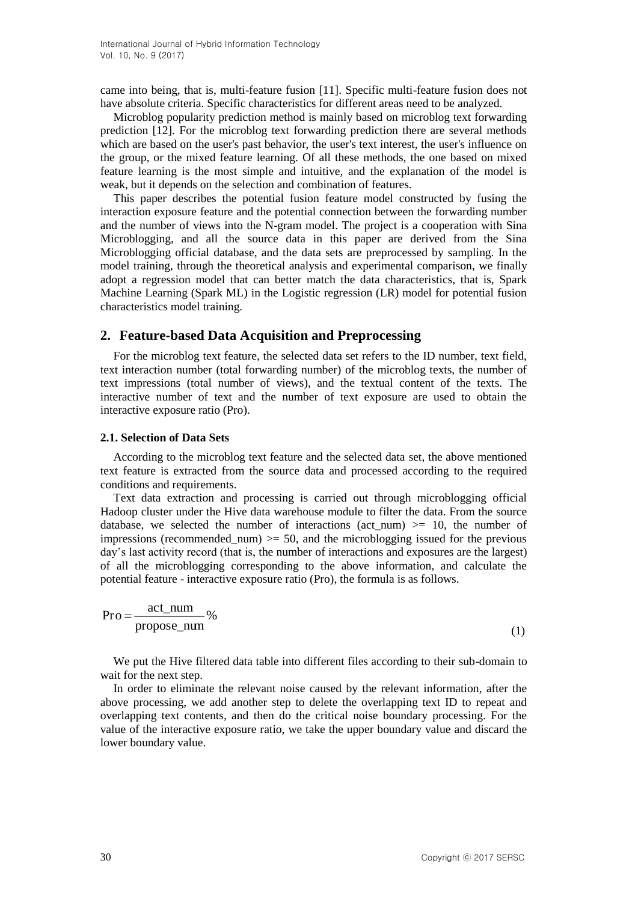came into being, that is, multi-feature fusion [11]. Specific multi-feature fusion does not have absolute criteria. Specific characteristics for different areas need to be analyzed.

Microblog popularity prediction method is mainly based on microblog text forwarding prediction [12]. For the microblog text forwarding prediction there are several methods which are based on the user's past behavior, the user's text interest, the user's influence on the group, or the mixed feature learning. Of all these methods, the one based on mixed feature learning is the most simple and intuitive, and the explanation of the model is weak, but it depends on the selection and combination of features.

This paper describes the potential fusion feature model constructed by fusing the interaction exposure feature and the potential connection between the forwarding number and the number of views into the N-gram model. The project is a cooperation with Sina Microblogging, and all the source data in this paper are derived from the Sina Microblogging official database, and the data sets are preprocessed by sampling. In the model training, through the theoretical analysis and experimental comparison, we finally adopt a regression model that can better match the data characteristics, that is, Spark Machine Learning (Spark ML) in the Logistic regression (LR) model for potential fusion characteristics model training.

# **2. Feature-based Data Acquisition and Preprocessing**

For the microblog text feature, the selected data set refers to the ID number, text field, text interaction number (total forwarding number) of the microblog texts, the number of text impressions (total number of views), and the textual content of the texts. The interactive number of text and the number of text exposure are used to obtain the interactive exposure ratio (Pro).

## **2.1. Selection of Data Sets**

According to the microblog text feature and the selected data set, the above mentioned text feature is extracted from the source data and processed according to the required conditions and requirements.

Text data extraction and processing is carried out through microblogging official Hadoop cluster under the Hive data warehouse module to filter the data. From the source database, we selected the number of interactions (act num)  $>= 10$ , the number of impressions (recommended num)  $>= 50$ , and the microblogging issued for the previous day's last activity record (that is, the number of interactions and exposures are the largest) of all the microblogging corresponding to the above information, and calculate the potential feature - interactive exposure ratio (Pro), the formula is as follows.

$$
Pro = \frac{act\_num}{propose\_num} \%
$$
 (1)

We put the Hive filtered data table into different files according to their sub-domain to wait for the next step.

In order to eliminate the relevant noise caused by the relevant information, after the above processing, we add another step to delete the overlapping text ID to repeat and overlapping text contents, and then do the critical noise boundary processing. For the value of the interactive exposure ratio, we take the upper boundary value and discard the lower boundary value.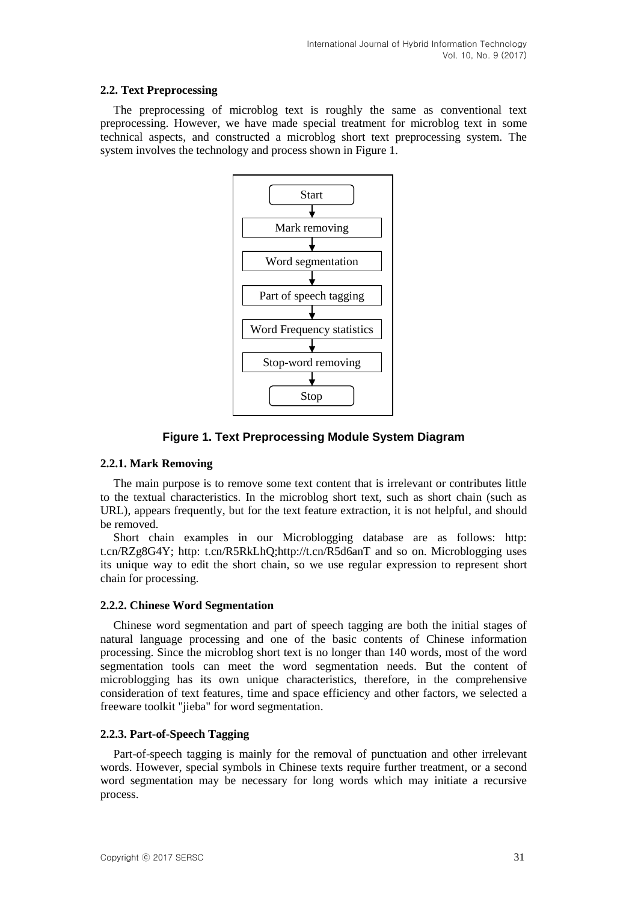# **2.2. Text Preprocessing**

The preprocessing of microblog text is roughly the same as conventional text preprocessing. However, we have made special treatment for microblog text in some technical aspects, and constructed a microblog short text preprocessing system. The system involves the technology and process shown in Figure 1.



**Figure 1. Text Preprocessing Module System Diagram**

# **2.2.1. Mark Removing**

The main purpose is to remove some text content that is irrelevant or contributes little to the textual characteristics. In the microblog short text, such as short chain (such as URL), appears frequently, but for the text feature extraction, it is not helpful, and should be removed.

Short chain examples in our Microblogging database are as follows: http: t.cn/RZg8G4Y; http: t.cn/R5RkLhQ;http://t.cn/R5d6anT and so on. Microblogging uses its unique way to edit the short chain, so we use regular expression to represent short chain for processing.

# **2.2.2. Chinese Word Segmentation**

Chinese word segmentation and part of speech tagging are both the initial stages of natural language processing and one of the basic contents of Chinese information processing. Since the microblog short text is no longer than 140 words, most of the word segmentation tools can meet the word segmentation needs. But the content of microblogging has its own unique characteristics, therefore, in the comprehensive consideration of text features, time and space efficiency and other factors, we selected a freeware toolkit "jieba" for word segmentation.

# **2.2.3. Part-of-Speech Tagging**

Part-of-speech tagging is mainly for the removal of punctuation and other irrelevant words. However, special symbols in Chinese texts require further treatment, or a second word segmentation may be necessary for long words which may initiate a recursive process.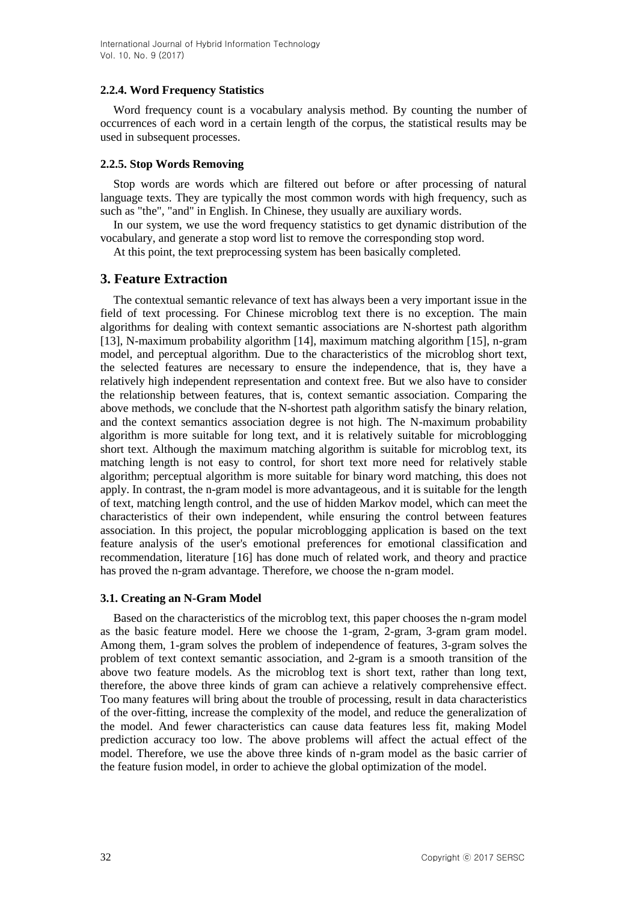# **2.2.4. Word Frequency Statistics**

Word frequency count is a vocabulary analysis method. By counting the number of occurrences of each word in a certain length of the corpus, the statistical results may be used in subsequent processes.

## **2.2.5. Stop Words Removing**

Stop words are words which are filtered out before or after processing of natural language texts. They are typically the most common words with high frequency, such as such as "the", "and" in English. In Chinese, they usually are auxiliary words.

In our system, we use the word frequency statistics to get dynamic distribution of the vocabulary, and generate a stop word list to remove the corresponding stop word.

At this point, the text preprocessing system has been basically completed.

# **3. Feature Extraction**

The contextual semantic relevance of text has always been a very important issue in the field of text processing. For Chinese microblog text there is no exception. The main algorithms for dealing with context semantic associations are N-shortest path algorithm [13], N-maximum probability algorithm [14], maximum matching algorithm [15], n-gram model, and perceptual algorithm. Due to the characteristics of the microblog short text, the selected features are necessary to ensure the independence, that is, they have a relatively high independent representation and context free. But we also have to consider the relationship between features, that is, context semantic association. Comparing the above methods, we conclude that the N-shortest path algorithm satisfy the binary relation, and the context semantics association degree is not high. The N-maximum probability algorithm is more suitable for long text, and it is relatively suitable for microblogging short text. Although the maximum matching algorithm is suitable for microblog text, its matching length is not easy to control, for short text more need for relatively stable algorithm; perceptual algorithm is more suitable for binary word matching, this does not apply. In contrast, the n-gram model is more advantageous, and it is suitable for the length of text, matching length control, and the use of hidden Markov model, which can meet the characteristics of their own independent, while ensuring the control between features association. In this project, the popular microblogging application is based on the text feature analysis of the user's emotional preferences for emotional classification and recommendation, literature [16] has done much of related work, and theory and practice has proved the n-gram advantage. Therefore, we choose the n-gram model.

# **3.1. Creating an N-Gram Model**

Based on the characteristics of the microblog text, this paper chooses the n-gram model as the basic feature model. Here we choose the 1-gram, 2-gram, 3-gram gram model. Among them, 1-gram solves the problem of independence of features, 3-gram solves the problem of text context semantic association, and 2-gram is a smooth transition of the above two feature models. As the microblog text is short text, rather than long text, therefore, the above three kinds of gram can achieve a relatively comprehensive effect. Too many features will bring about the trouble of processing, result in data characteristics of the over-fitting, increase the complexity of the model, and reduce the generalization of the model. And fewer characteristics can cause data features less fit, making Model prediction accuracy too low. The above problems will affect the actual effect of the model. Therefore, we use the above three kinds of n-gram model as the basic carrier of the feature fusion model, in order to achieve the global optimization of the model.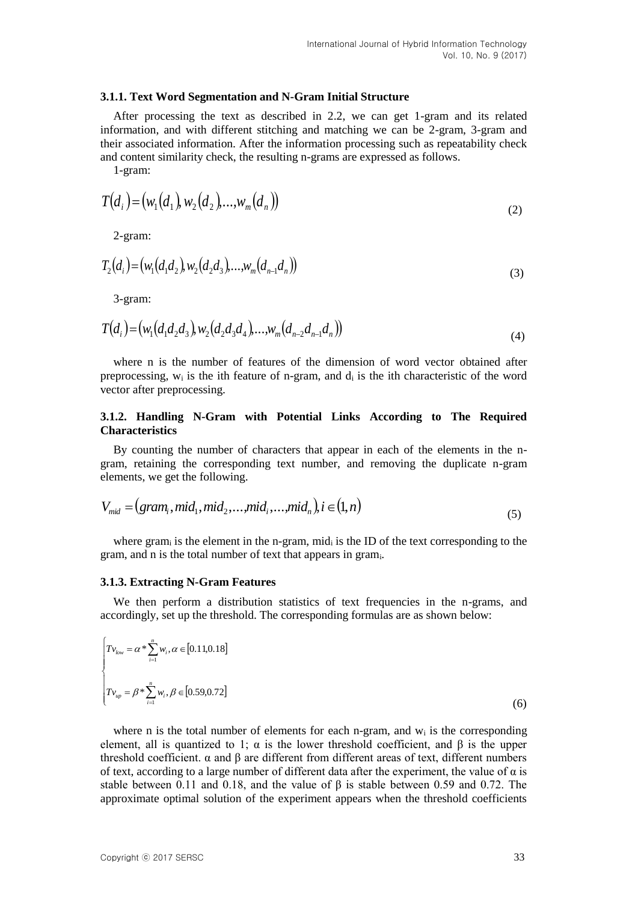#### **3.1.1. Text Word Segmentation and N-Gram Initial Structure**

After processing the text as described in 2.2, we can get 1-gram and its related information, and with different stitching and matching we can be 2-gram, 3-gram and their associated information. After the information processing such as repeatability check and content similarity check, the resulting n-grams are expressed as follows.

1-gram:

$$
T(d_i) = (w_1(d_1), w_2(d_2), ..., w_m(d_n))
$$
\n(2)

2-gram:

$$
T_2(d_i) = (w_1(d_1d_2), w_2(d_2d_3), \dots, w_m(d_{n-1}d_n))
$$
\n(3)

3-gram:

$$
T(d_i) = (w_1(d_1d_2d_3), w_2(d_2d_3d_4), \dots, w_m(d_{n-2}d_{n-1}d_n))
$$
\n(4)

where n is the number of features of the dimension of word vector obtained after preprocessing,  $w_i$  is the ith feature of n-gram, and  $d_i$  is the ith characteristic of the word vector after preprocessing.

# **3.1.2. Handling N-Gram with Potential Links According to The Required Characteristics**

By counting the number of characters that appear in each of the elements in the ngram, retaining the corresponding text number, and removing the duplicate n-gram elements, we get the following.

$$
V_{mid} = (gram_i, mid_1, mid_2, \dots, mid_i, \dots, mid_n), i \in (1, n)
$$
\n(5)

where gram<sub>i</sub> is the element in the n-gram, mid<sub>i</sub> is the ID of the text corresponding to the gram, and n is the total number of text that appears in grami.

#### **3.1.3. Extracting N-Gram Features**

We then perform a distribution statistics of text frequencies in the n-grams, and accordingly, set up the threshold. The corresponding formulas are as shown below:

$$
\begin{cases}\nT_{V_{low}} = \alpha * \sum_{i=1}^{n} w_i, \alpha \in [0.11, 0.18] \\
T_{V_{up}} = \beta * \sum_{i=1}^{n} w_i, \beta \in [0.59, 0.72]\n\end{cases}
$$
\n(6)

where n is the total number of elements for each n-gram, and  $w_i$  is the corresponding element, all is quantized to 1;  $\alpha$  is the lower threshold coefficient, and  $\beta$  is the upper threshold coefficient. α and β are different from different areas of text, different numbers of text, according to a large number of different data after the experiment, the value of  $\alpha$  is stable between 0.11 and 0.18, and the value of β is stable between 0.59 and 0.72. The approximate optimal solution of the experiment appears when the threshold coefficients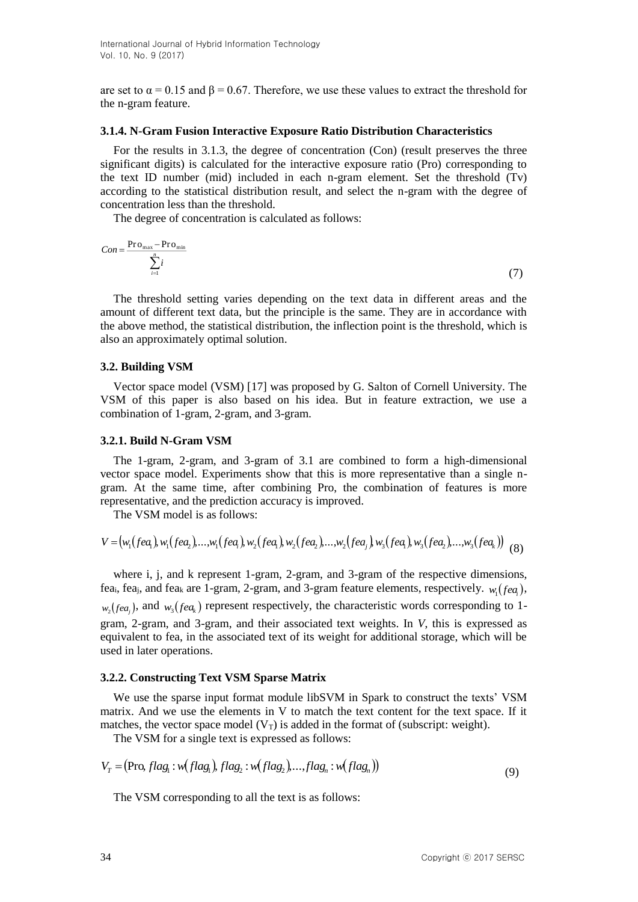are set to  $\alpha = 0.15$  and  $\beta = 0.67$ . Therefore, we use these values to extract the threshold for the n-gram feature.

#### **3.1.4. N-Gram Fusion Interactive Exposure Ratio Distribution Characteristics**

For the results in 3.1.3, the degree of concentration (Con) (result preserves the three significant digits) is calculated for the interactive exposure ratio (Pro) corresponding to the text ID number (mid) included in each n-gram element. Set the threshold (Tv) according to the statistical distribution result, and select the n-gram with the degree of concentration less than the threshold.

The degree of concentration is calculated as follows:

$$
Con = \frac{\text{Pro}_{\text{max}} - \text{Pro}_{\text{min}}}{\sum_{i=1}^{n} i} \tag{7}
$$

The threshold setting varies depending on the text data in different areas and the amount of different text data, but the principle is the same. They are in accordance with the above method, the statistical distribution, the inflection point is the threshold, which is also an approximately optimal solution.

#### **3.2. Building VSM**

Vector space model (VSM) [17] was proposed by G. Salton of Cornell University. The VSM of this paper is also based on his idea. But in feature extraction, we use a combination of 1-gram, 2-gram, and 3-gram.

#### **3.2.1. Build N-Gram VSM**

The 1-gram, 2-gram, and 3-gram of 3.1 are combined to form a high-dimensional vector space model. Experiments show that this is more representative than a single ngram. At the same time, after combining Pro, the combination of features is more representative, and the prediction accuracy is improved.

The VSM model is as follows:

$$
V = (w_1(fea_1), w_1(fea_2), ..., w_1(fea_1), w_2(fea_1), w_2(fea_2), ..., w_2(fea_j), w_3(fea_1), w_3(fea_2), ..., w_3(fea_k))
$$
(8)

where i, j, and k represent 1-gram, 2-gram, and 3-gram of the respective dimensions, fea<sub>i</sub>, fea<sub>j</sub>, and fea<sub>k</sub> are 1-gram, 2-gram, and 3-gram feature elements, respectively.  $w_1$  (*fea*<sub>i</sub>),  $w_2$ ( $f_1$ *, and*  $w_3$ ( $f_2$ *ea<sub>k</sub>*) represent respectively, the characteristic words corresponding to 1gram, 2-gram, and 3-gram, and their associated text weights. In *V*, this is expressed as equivalent to fea, in the associated text of its weight for additional storage, which will be used in later operations.

#### **3.2.2. Constructing Text VSM Sparse Matrix**

We use the sparse input format module libSVM in Spark to construct the texts' VSM matrix. And we use the elements in V to match the text content for the text space. If it matches, the vector space model  $(V_T)$  is added in the format of (subscript: weight).

The VSM for a single text is expressed as follows:

$$
VT = (\text{Pro, } flag1 : w(flag1), flag2 : w(flag2),...,flagn : w(flagn))
$$
\n(9)

The VSM corresponding to all the text is as follows: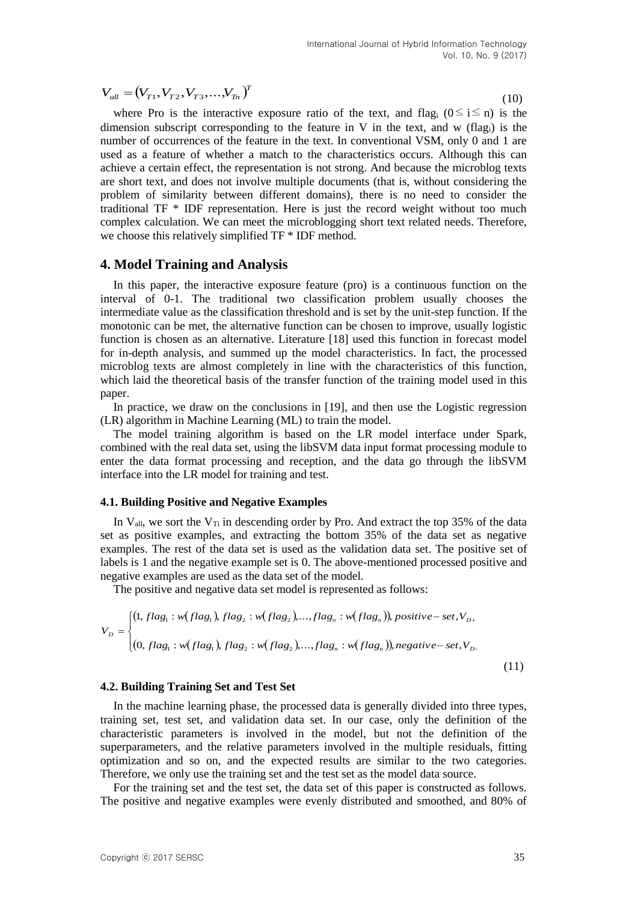$$
V_{all} = (V_{T1}, V_{T2}, V_{T3}, \dots, V_{Tn})^T
$$
\n(10)

 $V_{sg} = (V_f, V_f)$ ,  $V_{sg}$ ,  $\ldots V_{sg}$ ,  $V_{gg}$ ,  $\ldots V_{sg}$ ,  $V_{gg}$ ,  $\ldots V_{sg}$  and  $V_{gg}$  in the case, and the propagation consequence into other that we have the angular model with the external value of the feature in V in the where Pro is the interactive exposure ratio of the text, and flag<sub>i</sub> ( $0 \le i \le n$ ) is the dimension subscript corresponding to the feature in V in the text, and w (flag<sub>i</sub>) is the number of occurrences of the feature in the text. In conventional VSM, only 0 and 1 are used as a feature of whether a match to the characteristics occurs. Although this can achieve a certain effect, the representation is not strong. And because the microblog texts are short text, and does not involve multiple documents (that is, without considering the problem of similarity between different domains), there is no need to consider the traditional TF \* IDF representation. Here is just the record weight without too much complex calculation. We can meet the microblogging short text related needs. Therefore, we choose this relatively simplified TF \* IDF method.

## **4. Model Training and Analysis**

In this paper, the interactive exposure feature (pro) is a continuous function on the interval of 0-1. The traditional two classification problem usually chooses the intermediate value as the classification threshold and is set by the unit-step function. If the monotonic can be met, the alternative function can be chosen to improve, usually logistic function is chosen as an alternative. Literature [18] used this function in forecast model for in-depth analysis, and summed up the model characteristics. In fact, the processed microblog texts are almost completely in line with the characteristics of this function, which laid the theoretical basis of the transfer function of the training model used in this paper.

In practice, we draw on the conclusions in [19], and then use the Logistic regression (LR) algorithm in Machine Learning (ML) to train the model.

The model training algorithm is based on the LR model interface under Spark, combined with the real data set, using the libSVM data input format processing module to enter the data format processing and reception, and the data go through the libSVM interface into the LR model for training and test.

#### **4.1. Building Positive and Negative Examples**

In  $V_{all}$ , we sort the  $V_{Ti}$  in descending order by Pro. And extract the top 35% of the data set as positive examples, and extracting the bottom 35% of the data set as negative examples. The rest of the data set is used as the validation data set. The positive set of labels is 1 and the negative example set is 0. The above-mentioned processed positive and negative examples are used as the data set of the model.

The positive and negative data set model is represented as follows:

$$
V_{D} = \begin{cases} (1, flag_{1} : w(flag_{1}), flag_{2} : w(flag_{2}),...,flag_{n} : w(flag_{n})), positive-set, V_{D+} \\ & (0, flag_{1} : w(flag_{1}), flag_{2} : w(flag_{2}),...,flag_{n} : w(flag_{n})), negative-set, V_{D-} \end{cases}
$$
(11)

#### **4.2. Building Training Set and Test Set**

In the machine learning phase, the processed data is generally divided into three types, training set, test set, and validation data set. In our case, only the definition of the characteristic parameters is involved in the model, but not the definition of the superparameters, and the relative parameters involved in the multiple residuals, fitting optimization and so on, and the expected results are similar to the two categories. Therefore, we only use the training set and the test set as the model data source.

For the training set and the test set, the data set of this paper is constructed as follows. The positive and negative examples were evenly distributed and smoothed, and 80% of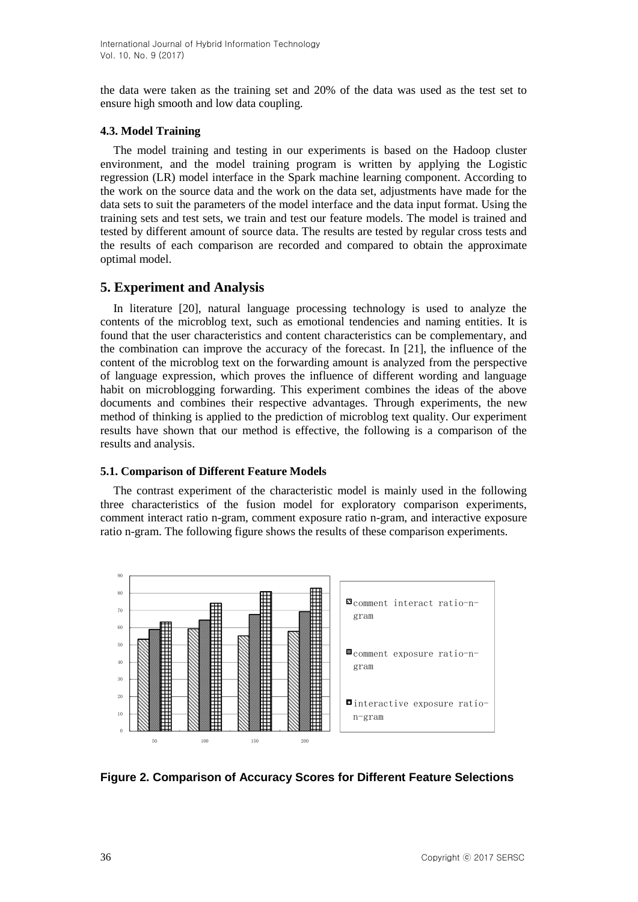the data were taken as the training set and 20% of the data was used as the test set to ensure high smooth and low data coupling.

# **4.3. Model Training**

The model training and testing in our experiments is based on the Hadoop cluster environment, and the model training program is written by applying the Logistic regression (LR) model interface in the Spark machine learning component. According to the work on the source data and the work on the data set, adjustments have made for the data sets to suit the parameters of the model interface and the data input format. Using the training sets and test sets, we train and test our feature models. The model is trained and tested by different amount of source data. The results are tested by regular cross tests and the results of each comparison are recorded and compared to obtain the approximate optimal model.

# **5. Experiment and Analysis**

In literature [20], natural language processing technology is used to analyze the contents of the microblog text, such as emotional tendencies and naming entities. It is found that the user characteristics and content characteristics can be complementary, and the combination can improve the accuracy of the forecast. In [21], the influence of the content of the microblog text on the forwarding amount is analyzed from the perspective of language expression, which proves the influence of different wording and language habit on microblogging forwarding. This experiment combines the ideas of the above documents and combines their respective advantages. Through experiments, the new method of thinking is applied to the prediction of microblog text quality. Our experiment results have shown that our method is effective, the following is a comparison of the results and analysis.

# **5.1. Comparison of Different Feature Models**

The contrast experiment of the characteristic model is mainly used in the following three characteristics of the fusion model for exploratory comparison experiments, comment interact ratio n-gram, comment exposure ratio n-gram, and interactive exposure ratio n-gram. The following figure shows the results of these comparison experiments.



**Figure 2. Comparison of Accuracy Scores for Different Feature Selections**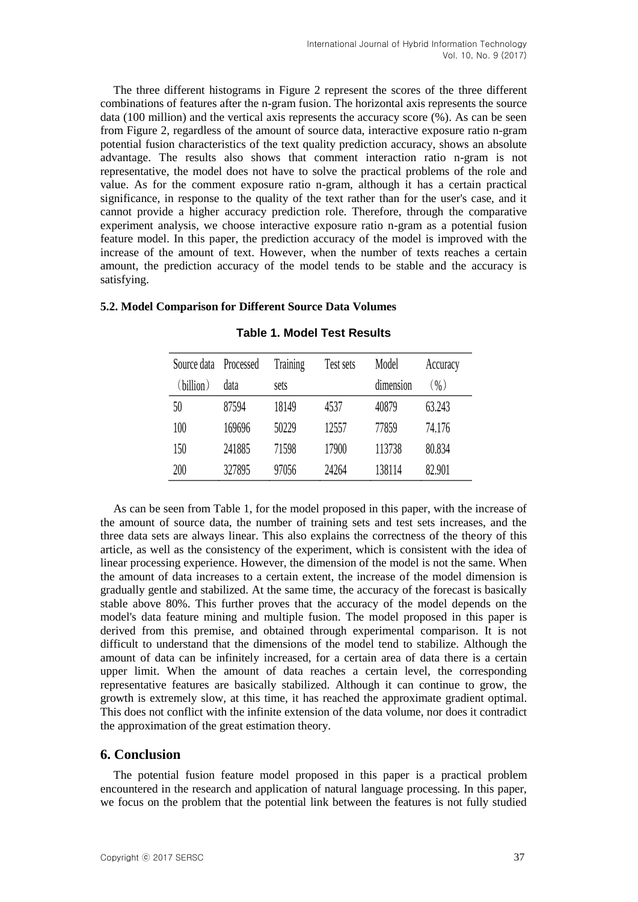The three different histograms in Figure 2 represent the scores of the three different combinations of features after the n-gram fusion. The horizontal axis represents the source data (100 million) and the vertical axis represents the accuracy score (%). As can be seen from Figure 2, regardless of the amount of source data, interactive exposure ratio n-gram potential fusion characteristics of the text quality prediction accuracy, shows an absolute advantage. The results also shows that comment interaction ratio n-gram is not representative, the model does not have to solve the practical problems of the role and value. As for the comment exposure ratio n-gram, although it has a certain practical significance, in response to the quality of the text rather than for the user's case, and it cannot provide a higher accuracy prediction role. Therefore, through the comparative experiment analysis, we choose interactive exposure ratio n-gram as a potential fusion feature model. In this paper, the prediction accuracy of the model is improved with the increase of the amount of text. However, when the number of texts reaches a certain amount, the prediction accuracy of the model tends to be stable and the accuracy is satisfying.

# **5.2. Model Comparison for Different Source Data Volumes**

| Source data | Processed | Training | Test sets | Model     | Accuracy |
|-------------|-----------|----------|-----------|-----------|----------|
| (billion)   | data      | sets     |           | dimension | $(\% )$  |
| 50          | 87594     | 18149    | 4537      | 40879     | 63.243   |
| 100         | 169696    | 50229    | 12557     | 77859     | 74.176   |
| 150         | 241885    | 71598    | 17900     | 113738    | 80.834   |
| 200         | 327895    | 97056    | 24264     | 138114    | 82.901   |

# **Table 1. Model Test Results**

As can be seen from Table 1, for the model proposed in this paper, with the increase of the amount of source data, the number of training sets and test sets increases, and the three data sets are always linear. This also explains the correctness of the theory of this article, as well as the consistency of the experiment, which is consistent with the idea of linear processing experience. However, the dimension of the model is not the same. When the amount of data increases to a certain extent, the increase of the model dimension is gradually gentle and stabilized. At the same time, the accuracy of the forecast is basically stable above 80%. This further proves that the accuracy of the model depends on the model's data feature mining and multiple fusion. The model proposed in this paper is derived from this premise, and obtained through experimental comparison. It is not difficult to understand that the dimensions of the model tend to stabilize. Although the amount of data can be infinitely increased, for a certain area of data there is a certain upper limit. When the amount of data reaches a certain level, the corresponding representative features are basically stabilized. Although it can continue to grow, the growth is extremely slow, at this time, it has reached the approximate gradient optimal. This does not conflict with the infinite extension of the data volume, nor does it contradict the approximation of the great estimation theory.

# **6. Conclusion**

The potential fusion feature model proposed in this paper is a practical problem encountered in the research and application of natural language processing. In this paper, we focus on the problem that the potential link between the features is not fully studied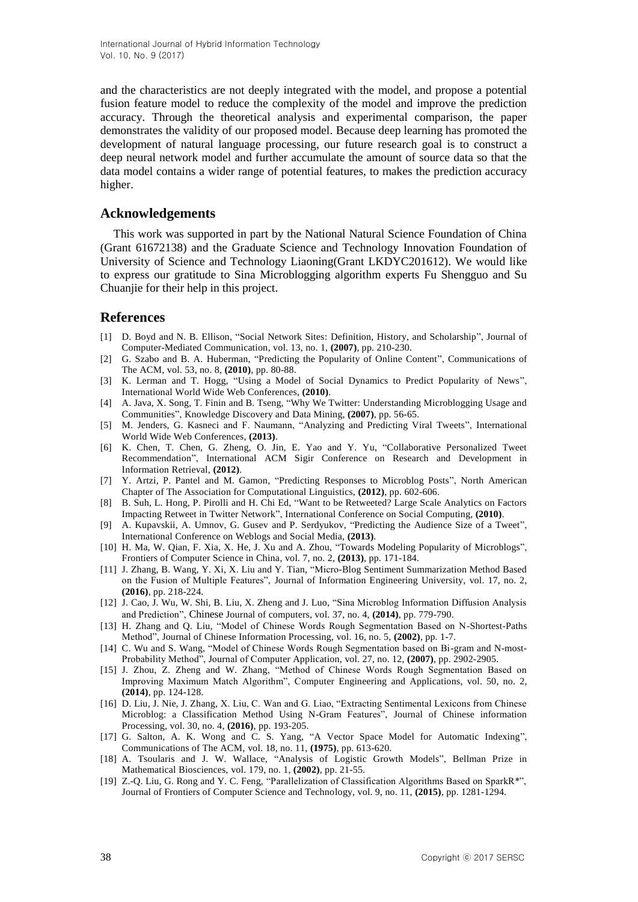International Journal of Hybrid Information Technology Vol. 10, No. 9 (2017)

and the characteristics are not deeply integrated with the model, and propose a potential fusion feature model to reduce the complexity of the model and improve the prediction accuracy. Through the theoretical analysis and experimental comparison, the paper demonstrates the validity of our proposed model. Because deep learning has promoted the development of natural language processing, our future research goal is to construct a deep neural network model and further accumulate the amount of source data so that the data model contains a wider range of potential features, to makes the prediction accuracy higher.

### **Acknowledgements**

This work was supported in part by the National Natural Science Foundation of China (Grant 61672138) and the Graduate Science and Technology Innovation Foundation of University of Science and Technology Liaoning(Grant LKDYC201612). We would like to express our gratitude to Sina Microblogging algorithm experts Fu Shengguo and Su Chuanjie for their help in this project.

## **References**

- [1] D. Boyd and N. B. Ellison, "Social Network Sites: Definition, History, and Scholarship", Journal of Computer-Mediated Communication, vol. 13, no. 1, **(2007)**, pp. 210-230.
- [2] G. Szabo and B. A. Huberman, "Predicting the Popularity of Online Content", Communications of The ACM, vol. 53, no. 8, **(2010)**, pp. 80-88.
- [3] K. Lerman and T. Hogg, "Using a Model of Social Dynamics to Predict Popularity of News", International World Wide Web Conferences, **(2010)**.
- [4] A. Java, X. Song, T. Finin and B. Tseng, "Why We Twitter: Understanding Microblogging Usage and Communities", Knowledge Discovery and Data Mining, **(2007)**, pp. 56-65.
- [5] M. Jenders, G. Kasneci and F. Naumann, "Analyzing and Predicting Viral Tweets", International World Wide Web Conferences, **(2013)**.
- [6] K. Chen, T. Chen, G. Zheng, O. Jin, E. Yao and Y. Yu, "Collaborative Personalized Tweet Recommendation", International ACM Sigir Conference on Research and Development in Information Retrieval, **(2012)**.
- [7] Y. Artzi, P. Pantel and M. Gamon, "Predicting Responses to Microblog Posts", North American Chapter of The Association for Computational Linguistics, **(2012)**, pp. 602-606.
- [8] B. Suh, L. Hong, P. Pirolli and H. Chi Ed, "Want to be Retweeted? Large Scale Analytics on Factors Impacting Retweet in Twitter Network", International Conference on Social Computing, **(2010)**.
- [9] A. Kupavskii, A. Umnov, G. Gusev and P. Serdyukov, "Predicting the Audience Size of a Tweet", International Conference on Weblogs and Social Media, **(2013)**.
- [10] H. Ma, W. Qian, F. Xia, X. He, J. Xu and A. Zhou, "Towards Modeling Popularity of Microblogs", Frontiers of Computer Science in China, vol. 7, no. 2, **(2013)**, pp. 171-184.
- [11] J. Zhang, B. Wang, Y. Xi, X. Liu and Y. Tian, "Micro-Blog Sentiment Summarization Method Based on the Fusion of Multiple Features", Journal of Information Engineering University, vol. 17, no. 2, **(2016)**, pp. 218-224.
- [12] J. Cao, J. Wu, W. Shi, B. Liu, X. Zheng and J. Luo, "Sina Microblog Information Diffusion Analysis and Prediction", Chinese Journal of computers, vol. 37, no. 4, **(2014)**, pp. 779-790.
- [13] H. Zhang and Q. Liu, "Model of Chinese Words Rough Segmentation Based on N-Shortest-Paths Method", Journal of Chinese Information Processing, vol. 16, no. 5, **(2002)**, pp. 1-7.
- [14] C. Wu and S. Wang, "Model of Chinese Words Rough Segmentation based on Bi-gram and N-most-Probability Method", Journal of Computer Application, vol. 27, no. 12, **(2007)**, pp. 2902-2905.
- [15] J. Zhou, Z. Zheng and W. Zhang, "Method of Chinese Words Rough Segmentation Based on Improving Maximum Match Algorithm", Computer Engineering and Applications, vol. 50, no. 2, **(2014)**, pp. 124-128.
- [16] D. Liu, J. Nie, J. Zhang, X. Liu, C. Wan and G. Liao, "Extracting Sentimental Lexicons from Chinese Microblog: a Classification Method Using N-Gram Features", Journal of Chinese information Processing, vol. 30, no. 4, **(2016)**, pp. 193-205.
- [17] G. Salton, A. K. Wong and C. S. Yang, "A Vector Space Model for Automatic Indexing", Communications of The ACM, vol. 18, no. 11, **(1975)**, pp. 613-620.
- [18] A. Tsoularis and J. W. Wallace, "Analysis of Logistic Growth Models", Bellman Prize in Mathematical Biosciences, vol. 179, no. 1, **(2002)**, pp. 21-55.
- [19] Z.-Q. Liu, G. Rong and Y. C. Feng, "Parallelization of Classification Algorithms Based on SparkR\*", Journal of Frontiers of Computer Science and Technology, vol. 9, no. 11, **(2015)**, pp. 1281-1294.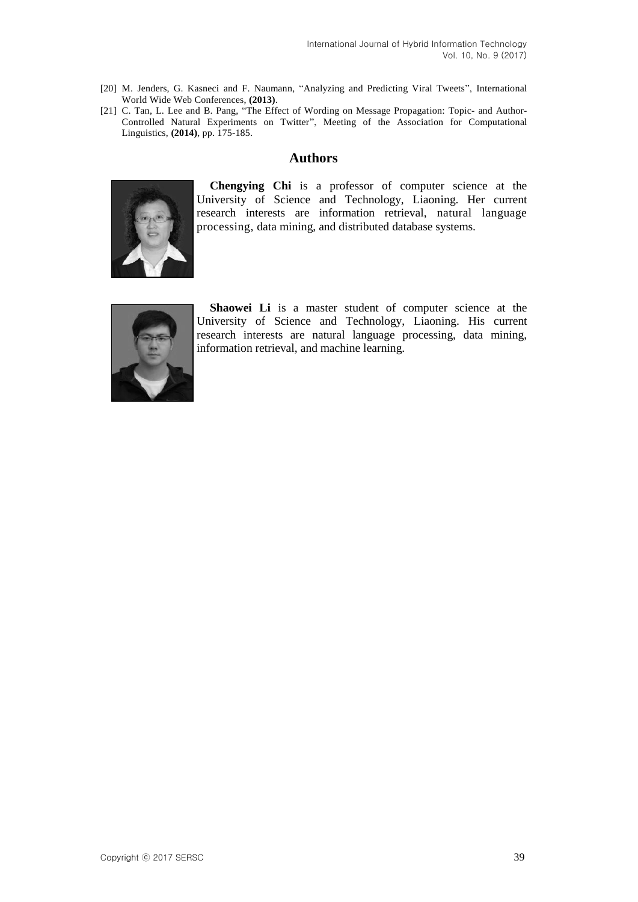- [20] M. Jenders, G. Kasneci and F. Naumann, "Analyzing and Predicting Viral Tweets", International World Wide Web Conferences, **(2013)**.
- [21] C. Tan, L. Lee and B. Pang, "The Effect of Wording on Message Propagation: Topic- and Author-Controlled Natural Experiments on Twitter", Meeting of the Association for Computational Linguistics, **(2014)**, pp. 175-185.

# **Authors**



**Chengying Chi** is a professor of computer science at the University of Science and Technology, Liaoning. Her current research interests are information retrieval, natural language processing, data mining, and distributed database systems.



**Shaowei Li** is a master student of computer science at the University of Science and Technology, Liaoning. His current research interests are natural language processing, data mining, information retrieval, and machine learning.